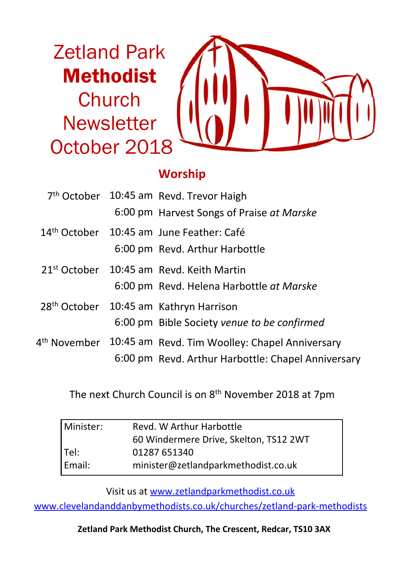Zetland Park Methodist Church **Newsletter** October 2018



## **Worship**

|  | 7 <sup>th</sup> October 10:45 am Revd. Trevor Haigh                     |
|--|-------------------------------------------------------------------------|
|  | 6:00 pm Harvest Songs of Praise at Marske                               |
|  | 14th October 10:45 am June Feather: Café                                |
|  | 6:00 pm Revd. Arthur Harbottle                                          |
|  | $21st$ October $10:45$ am Revd. Keith Martin                            |
|  | 6:00 pm Revd. Helena Harbottle at Marske                                |
|  | 28 <sup>th</sup> October 10:45 am Kathryn Harrison                      |
|  | 6:00 pm Bible Society venue to be confirmed                             |
|  | 4 <sup>th</sup> November 10:45 am Revd. Tim Woolley: Chapel Anniversary |
|  | 6:00 pm Revd. Arthur Harbottle: Chapel Anniversary                      |

The next Church Council is on 8th November 2018 at 7pm

| Minister: | Revd. W Arthur Harbottle               |  |  |
|-----------|----------------------------------------|--|--|
|           | 60 Windermere Drive, Skelton, TS12 2WT |  |  |
| Tel:      | 01287 651340                           |  |  |
| Email:    | minister@zetlandparkmethodist.co.uk    |  |  |

Visit us at www.zetlandparkmethodist.co.uk

www.clevelandanddanbymethodists.co.uk/churches/zetland-park-methodists

**Zetland Park Methodist Church, The Crescent, Redcar, TS10 3AX**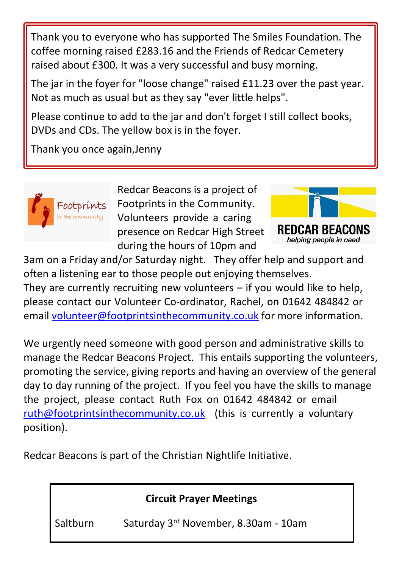Thank you to everyone who has supported The Smiles Foundation. The coffee morning raised £283.16 and the Friends of Redcar Cemetery raised about £300. It was a very successful and busy morning.

The jar in the foyer for "loose change" raised £11.23 over the past year. Not as much as usual but as they say "ever little helps".

Please continue to add to the jar and don't forget I still collect books, DVDs and CDs. The yellow box is in the foyer.

Thank you once again,Jenny



Redcar Beacons is a project of Footprints in the Community. Volunteers provide a caring presence on Redcar High Street during the hours of 10pm and



3am on a Friday and/or Saturday night. They offer help and support and often a listening ear to those people out enjoying themselves.

They are currently recruiting new volunteers – if you would like to help, please contact our Volunteer Co-ordinator, Rachel, on 01642 484842 or email volunteer@footprintsinthecommunity.co.uk for more information.

We urgently need someone with good person and administrative skills to manage the Redcar Beacons Project. This entails supporting the volunteers, promoting the service, giving reports and having an overview of the general day to day running of the project. If you feel you have the skills to manage the project, please contact Ruth Fox on 01642 484842 or email ruth@footprintsinthecommunity.co.uk (this is currently a voluntary position).

Redcar Beacons is part of the Christian Nightlife Initiative.

**Circuit Prayer Meetings**

Saltburn Saturday 3rd November, 8.30am - 10am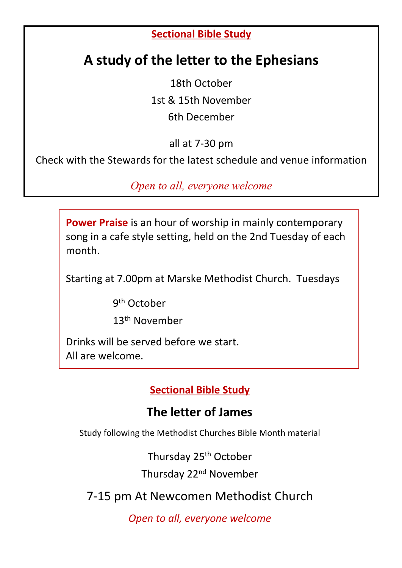#### **Sectional Bible Study**

# **A study of the letter to the Ephesians**

18th October 1st & 15th November 6th December

all at 7-30 pm

Check with the Stewards for the latest schedule and venue information

*Open to all, everyone welcome*

**Power Praise** is an hour of worship in mainly contemporary song in a cafe style setting, held on the 2nd Tuesday of each month.

Starting at 7.00pm at Marske Methodist Church. Tuesdays

9<sup>th</sup> October

13th November

Drinks will be served before we start. All are welcome.

**Sectional Bible Study**

### **The letter of James**

Study following the Methodist Churches Bible Month material

Thursday 25th October

Thursday 22nd November

7-15 pm At Newcomen Methodist Church

*Open to all, everyone welcome*